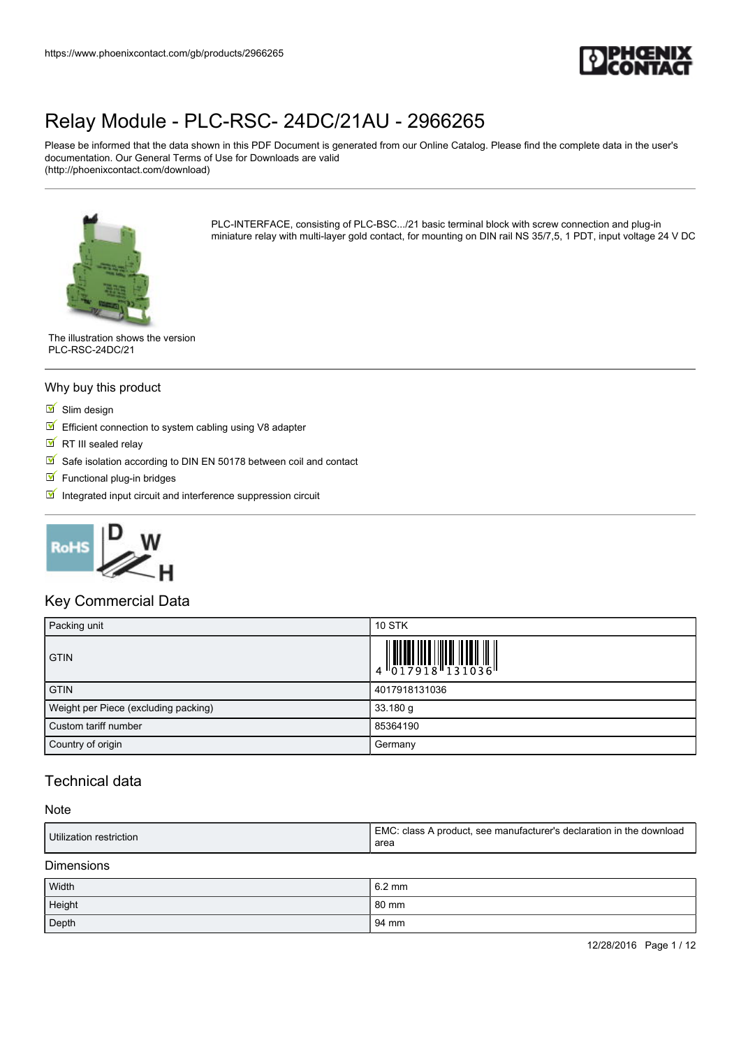

Please be informed that the data shown in this PDF Document is generated from our Online Catalog. Please find the complete data in the user's documentation. Our General Terms of Use for Downloads are valid (http://phoenixcontact.com/download)



PLC-INTERFACE, consisting of PLC-BSC.../21 basic terminal block with screw connection and plug-in miniature relay with multi-layer gold contact, for mounting on DIN rail NS 35/7,5, 1 PDT, input voltage 24 V DC

The illustration shows the version PLC-RSC-24DC/21

#### Why buy this product

- $\blacksquare$  Slim design
- $\triangleright$  Efficient connection to system cabling using V8 adapter
- $\overline{\mathbb{R}}$  RT III sealed relav
- Safe isolation according to DIN EN 50178 between coil and contact
- $\blacksquare$  Functional plug-in bridges
- $\blacksquare$  Integrated input circuit and interference suppression circuit



#### Key Commercial Data

| Packing unit                         | <b>10 STK</b>                                                                                                                                                                                                                                                                                                                  |
|--------------------------------------|--------------------------------------------------------------------------------------------------------------------------------------------------------------------------------------------------------------------------------------------------------------------------------------------------------------------------------|
| <b>GTIN</b>                          | $\begin{array}{c} 1 & 0 & 0 & 0 \\ 0 & 1 & 0 & 0 \\ 0 & 1 & 0 & 0 \\ 0 & 0 & 0 & 0 \\ 0 & 0 & 0 & 0 \\ 0 & 0 & 0 & 0 \\ 0 & 0 & 0 & 0 \\ 0 & 0 & 0 & 0 \\ 0 & 0 & 0 & 0 \\ 0 & 0 & 0 & 0 \\ 0 & 0 & 0 & 0 \\ 0 & 0 & 0 & 0 & 0 \\ 0 & 0 & 0 & 0 & 0 \\ 0 & 0 & 0 & 0 & 0 \\ 0 & 0 & 0 & 0 & 0 & 0 \\ 0 & 0 & 0 & 0 & 0 & 0 \\$ |
| <b>GTIN</b>                          | 4017918131036                                                                                                                                                                                                                                                                                                                  |
| Weight per Piece (excluding packing) | $33.180$ g                                                                                                                                                                                                                                                                                                                     |
| Custom tariff number                 | 85364190                                                                                                                                                                                                                                                                                                                       |
| Country of origin                    | Germany                                                                                                                                                                                                                                                                                                                        |

### Technical data

#### Note

| Utilization restriction | EMC: class A product, see manufacturer's declaration in the download<br>area |
|-------------------------|------------------------------------------------------------------------------|
| - -                     |                                                                              |

#### Dimensions

| Width  | $6.2 \text{ mm}$ |
|--------|------------------|
| Height | 80 mm            |
| Depth  | 94 mm            |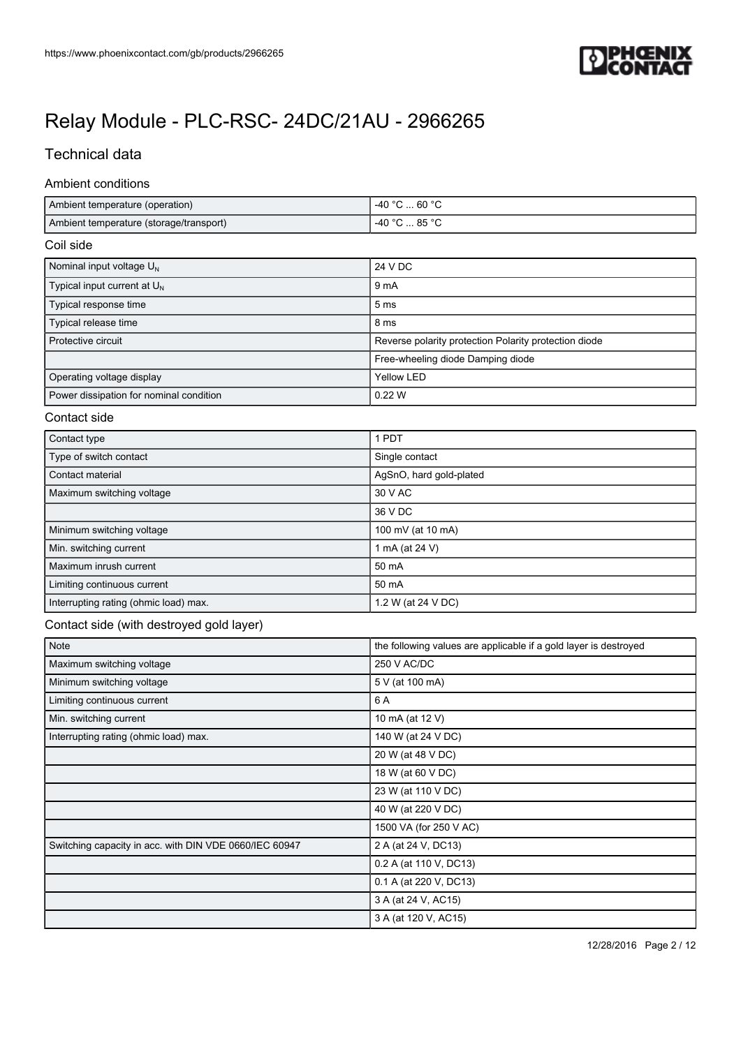

## Technical data

#### Ambient conditions

| Ambient temperature (operation)         | C … 60 °C<br>. -40 °⊂ |
|-----------------------------------------|-----------------------|
| Ambient temperature (storage/transport) | -40 °C<br>85 °C       |

#### Coil side

| Nominal input voltage $U_N$             | 24 V DC                                               |
|-----------------------------------------|-------------------------------------------------------|
| Typical input current at $U_{N}$        | 9 <sub>m</sub> A                                      |
| Typical response time                   | 5 <sub>ms</sub>                                       |
| Typical release time                    | 8 ms                                                  |
| Protective circuit                      | Reverse polarity protection Polarity protection diode |
|                                         | Free-wheeling diode Damping diode                     |
| Operating voltage display               | Yellow LED                                            |
| Power dissipation for nominal condition | 0.22 W                                                |

#### Contact side

| Contact type                          | 1 PDT                   |
|---------------------------------------|-------------------------|
| Type of switch contact                | Single contact          |
| Contact material                      | AgSnO, hard gold-plated |
| Maximum switching voltage             | 30 V AC                 |
|                                       | 36 V DC                 |
| Minimum switching voltage             | 100 mV (at 10 mA)       |
| Min. switching current                | 1 mA (at 24 V)          |
| Maximum inrush current                | 50 mA                   |
| Limiting continuous current           | 50 mA                   |
| Interrupting rating (ohmic load) max. | 1.2 W (at 24 V DC)      |

### Contact side (with destroyed gold layer)

| Note                                                   | the following values are applicable if a gold layer is destroyed |
|--------------------------------------------------------|------------------------------------------------------------------|
| Maximum switching voltage                              | 250 V AC/DC                                                      |
| Minimum switching voltage                              | 5 V (at 100 mA)                                                  |
| Limiting continuous current                            | 6 A                                                              |
| Min. switching current                                 | 10 mA (at 12 V)                                                  |
| Interrupting rating (ohmic load) max.                  | 140 W (at 24 V DC)                                               |
|                                                        | 20 W (at 48 V DC)                                                |
|                                                        | 18 W (at 60 V DC)                                                |
|                                                        | 23 W (at 110 V DC)                                               |
|                                                        | 40 W (at 220 V DC)                                               |
|                                                        | 1500 VA (for 250 V AC)                                           |
| Switching capacity in acc. with DIN VDE 0660/IEC 60947 | 2 A (at 24 V, DC13)                                              |
|                                                        | 0.2 A (at 110 V, DC13)                                           |
|                                                        | 0.1 A (at 220 V, DC13)                                           |
|                                                        | 3 A (at 24 V, AC15)                                              |
|                                                        | 3 A (at 120 V, AC15)                                             |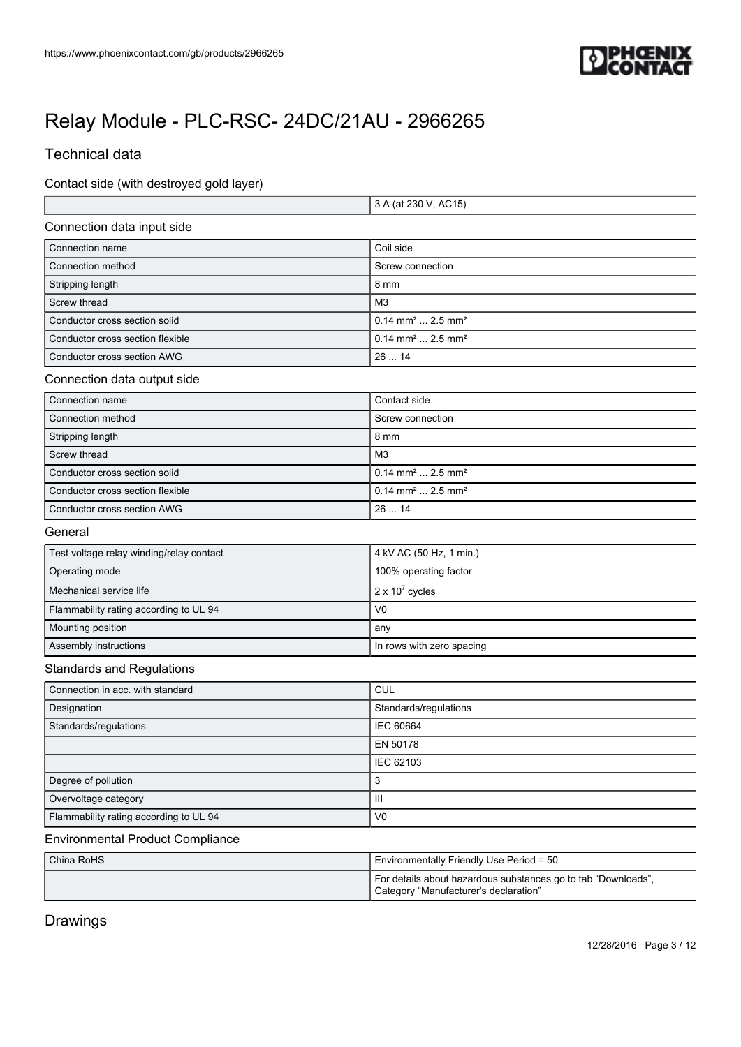

## Technical data

Ē

Contact side (with destroyed gold layer)

|                                  | 3 A (at 230 V, AC15)                       |
|----------------------------------|--------------------------------------------|
| Connection data input side       |                                            |
| Connection name                  | Coil side                                  |
| Connection method                | Screw connection                           |
| Stripping length                 | 8 mm                                       |
| Screw thread                     | M3                                         |
| Conductor cross section solid    | $0.14$ mm <sup>2</sup> 2.5 mm <sup>2</sup> |
| Conductor cross section flexible | $0.14$ mm <sup>2</sup> 2.5 mm <sup>2</sup> |
| Conductor cross section AWG      | 2614                                       |
|                                  |                                            |

#### Connection data output side

| Connection name                  | Contact side                               |
|----------------------------------|--------------------------------------------|
| Connection method                | Screw connection                           |
| Stripping length                 | 8 mm                                       |
| Screw thread                     | M <sub>3</sub>                             |
| Conductor cross section solid    | $0.14$ mm <sup>2</sup> 2.5 mm <sup>2</sup> |
| Conductor cross section flexible | $0.14$ mm <sup>2</sup> 2.5 mm <sup>2</sup> |
| Conductor cross section AWG      | 2614                                       |

#### General

| Test voltage relay winding/relay contact | 4 kV AC (50 Hz, 1 min.)   |
|------------------------------------------|---------------------------|
| Operating mode                           | 100% operating factor     |
| Mechanical service life                  | $2 \times 10^7$ cycles    |
| Flammability rating according to UL 94   | V <sub>0</sub>            |
| Mounting position                        | any                       |
| Assembly instructions                    | In rows with zero spacing |

#### Standards and Regulations

| Connection in acc. with standard       | <b>CUL</b>            |
|----------------------------------------|-----------------------|
| Designation                            | Standards/regulations |
| Standards/regulations                  | <b>IEC 60664</b>      |
|                                        | EN 50178              |
|                                        | IEC 62103             |
| Degree of pollution                    | 3                     |
| Overvoltage category                   | Ш                     |
| Flammability rating according to UL 94 | V <sub>0</sub>        |

### Environmental Product Compliance

| China RoHS | <b>Environmentally Friendly Use Period = 50</b>                                                        |
|------------|--------------------------------------------------------------------------------------------------------|
|            | For details about hazardous substances go to tab "Downloads",<br>Category "Manufacturer's declaration" |

## Drawings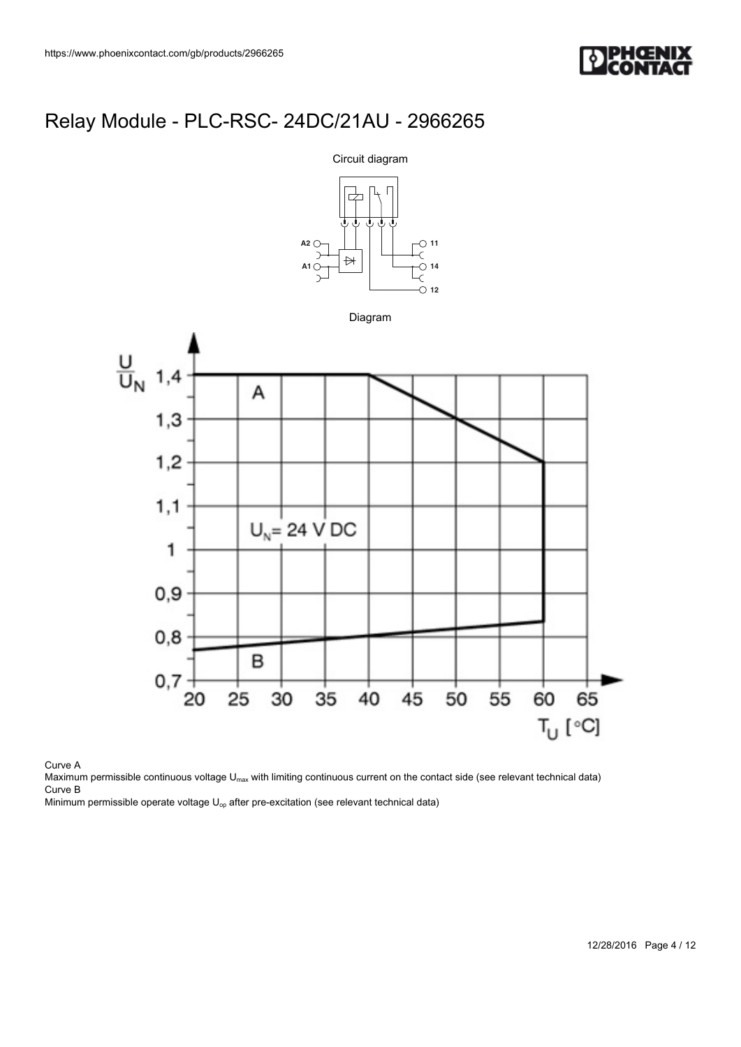



Curve A

Maximum permissible continuous voltage U<sub>max</sub> with limiting continuous current on the contact side (see relevant technical data) Curve B

Minimum permissible operate voltage  $U_{op}$  after pre-excitation (see relevant technical data)

12/28/2016 Page 4 / 12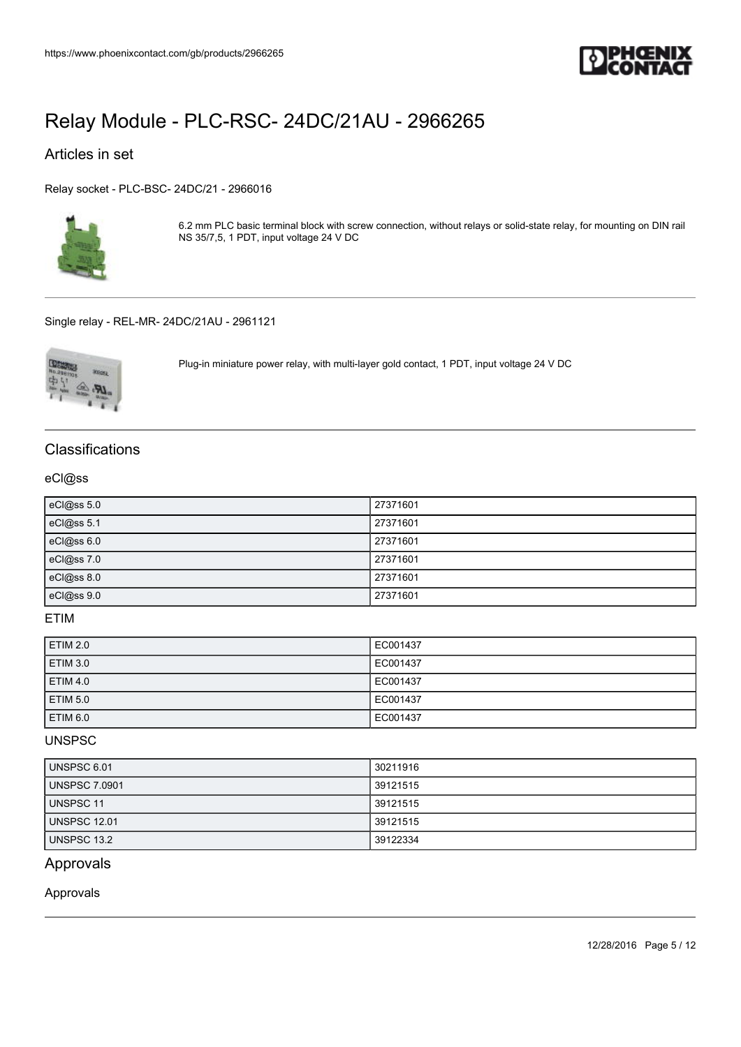

### Articles in set

[Relay socket - PLC-BSC- 24DC/21 - 2966016](https://www.phoenixcontact.com/gb/products/2966016)



6.2 mm PLC basic terminal block with screw connection, without relays or solid-state relay, for mounting on DIN rail NS 35/7,5, 1 PDT, input voltage 24 V DC

[Single relay - REL-MR- 24DC/21AU - 2961121](https://www.phoenixcontact.com/gb/products/2961121)



Plug-in miniature power relay, with multi-layer gold contact, 1 PDT, input voltage 24 V DC

### **Classifications**

#### eCl@ss

| eCl@ss 5.0 | 27371601 |
|------------|----------|
| eCl@ss 5.1 | 27371601 |
| eCl@ss 6.0 | 27371601 |
| eCl@ss 7.0 | 27371601 |
| eCl@ss 8.0 | 27371601 |
| eCl@ss 9.0 | 27371601 |

### ETIM

| <b>ETIM 2.0</b> | EC001437 |
|-----------------|----------|
| <b>ETIM 3.0</b> | EC001437 |
| <b>ETIM 4.0</b> | EC001437 |
| <b>ETIM 5.0</b> | EC001437 |
| <b>ETIM 6.0</b> | EC001437 |

#### UNSPSC

| UNSPSC 6.01   | 30211916 |
|---------------|----------|
| UNSPSC 7.0901 | 39121515 |
| UNSPSC 11     | 39121515 |
| UNSPSC 12.01  | 39121515 |
| UNSPSC 13.2   | 39122334 |

### Approvals

Approvals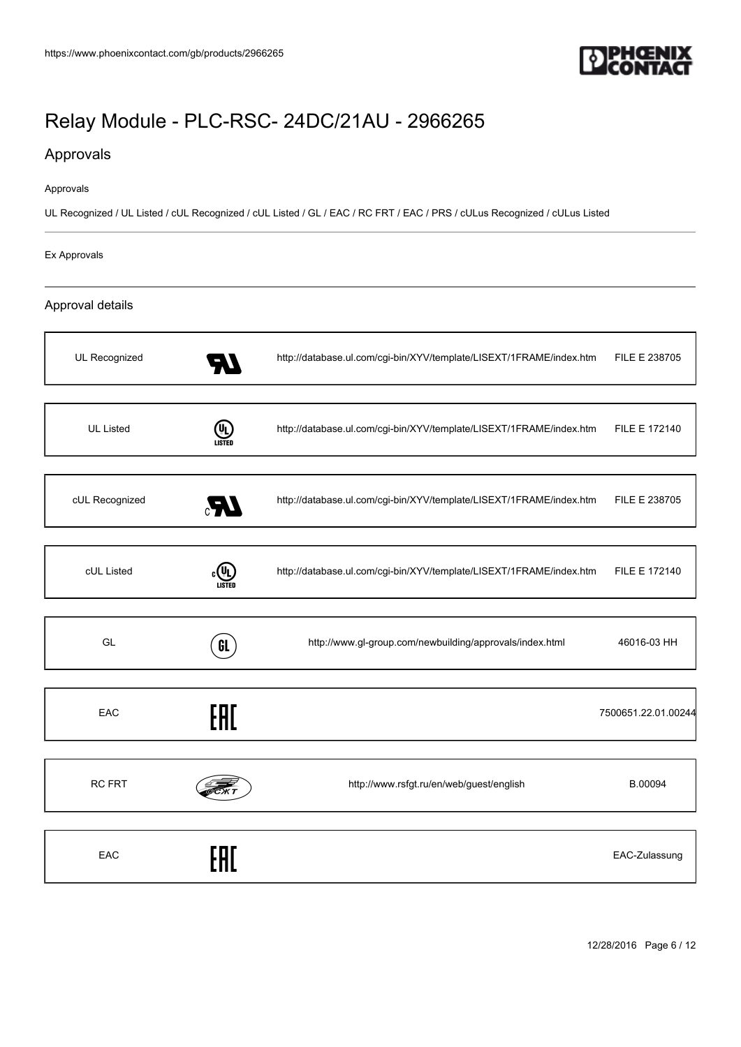

### Approvals

#### Approvals

UL Recognized / UL Listed / cUL Recognized / cUL Listed / GL / EAC / RC FRT / EAC / PRS / cULus Recognized / cULus Listed

#### Ex Approvals

#### Approval details

| UL Recognized    |               | http://database.ul.com/cgi-bin/XYV/template/LISEXT/1FRAME/index.htm | FILE E 238705       |
|------------------|---------------|---------------------------------------------------------------------|---------------------|
| <b>UL Listed</b> | ⋓             | http://database.ul.com/cgi-bin/XYV/template/LISEXT/1FRAME/index.htm | FILE E 172140       |
| cUL Recognized   |               | http://database.ul.com/cgi-bin/XYV/template/LISEXT/1FRAME/index.htm | FILE E 238705       |
| cUL Listed       | <b>LISTED</b> | http://database.ul.com/cgi-bin/XYV/template/LISEXT/1FRAME/index.htm | FILE E 172140       |
| GL               | GL            | http://www.gl-group.com/newbuilding/approvals/index.html            | 46016-03 HH         |
| EAC              | EAC           |                                                                     | 7500651.22.01.00244 |
| <b>RC FRT</b>    |               | http://www.rsfgt.ru/en/web/guest/english                            | B.00094             |
| EAC              |               |                                                                     | EAC-Zulassung       |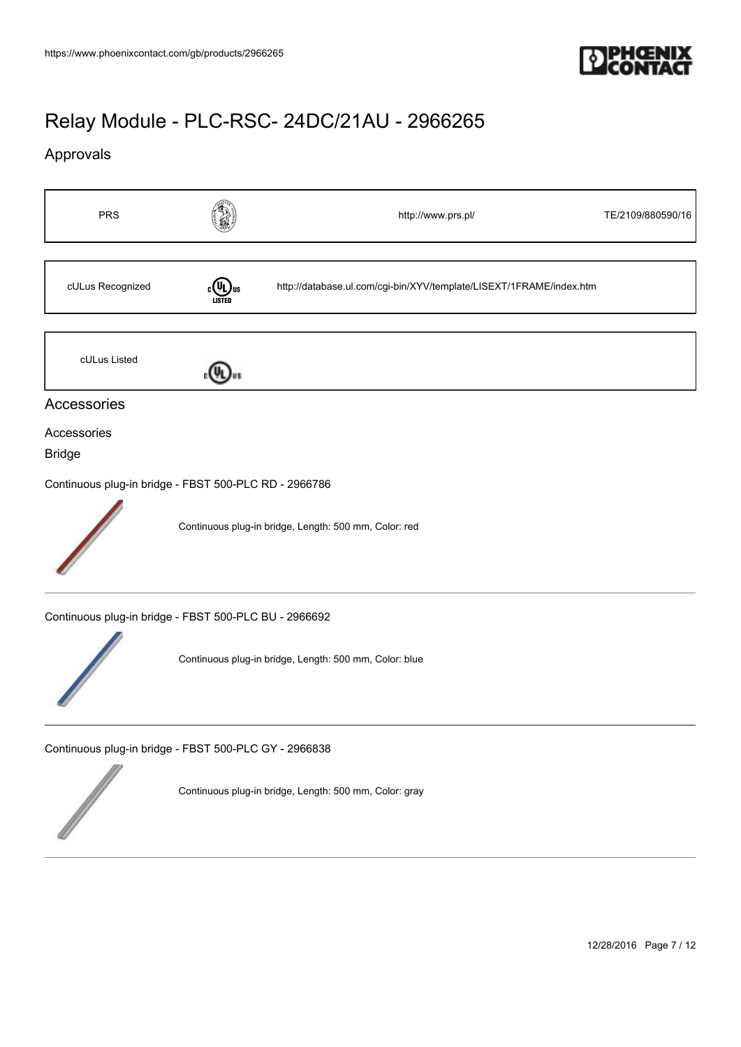

## Approvals



12/28/2016 Page 7 / 12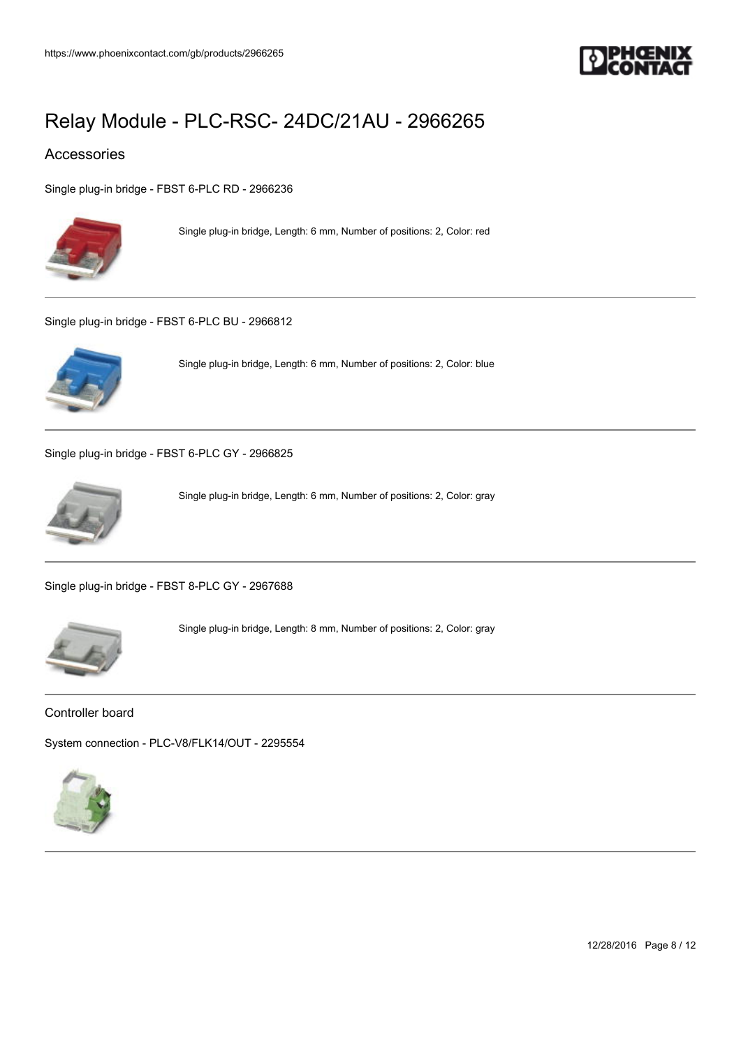

### Accessories

[Single plug-in bridge - FBST 6-PLC RD - 2966236](https://www.phoenixcontact.com/gb/products/2966236)



Single plug-in bridge, Length: 6 mm, Number of positions: 2, Color: red

[Single plug-in bridge - FBST 6-PLC BU - 2966812](https://www.phoenixcontact.com/gb/products/2966812)



Single plug-in bridge, Length: 6 mm, Number of positions: 2, Color: blue

[Single plug-in bridge - FBST 6-PLC GY - 2966825](https://www.phoenixcontact.com/gb/products/2966825)



Single plug-in bridge, Length: 6 mm, Number of positions: 2, Color: gray

[Single plug-in bridge - FBST 8-PLC GY - 2967688](https://www.phoenixcontact.com/gb/products/2967688)



Single plug-in bridge, Length: 8 mm, Number of positions: 2, Color: gray

Controller board

[System connection - PLC-V8/FLK14/OUT - 2295554](https://www.phoenixcontact.com/gb/products/2295554)



12/28/2016 Page 8 / 12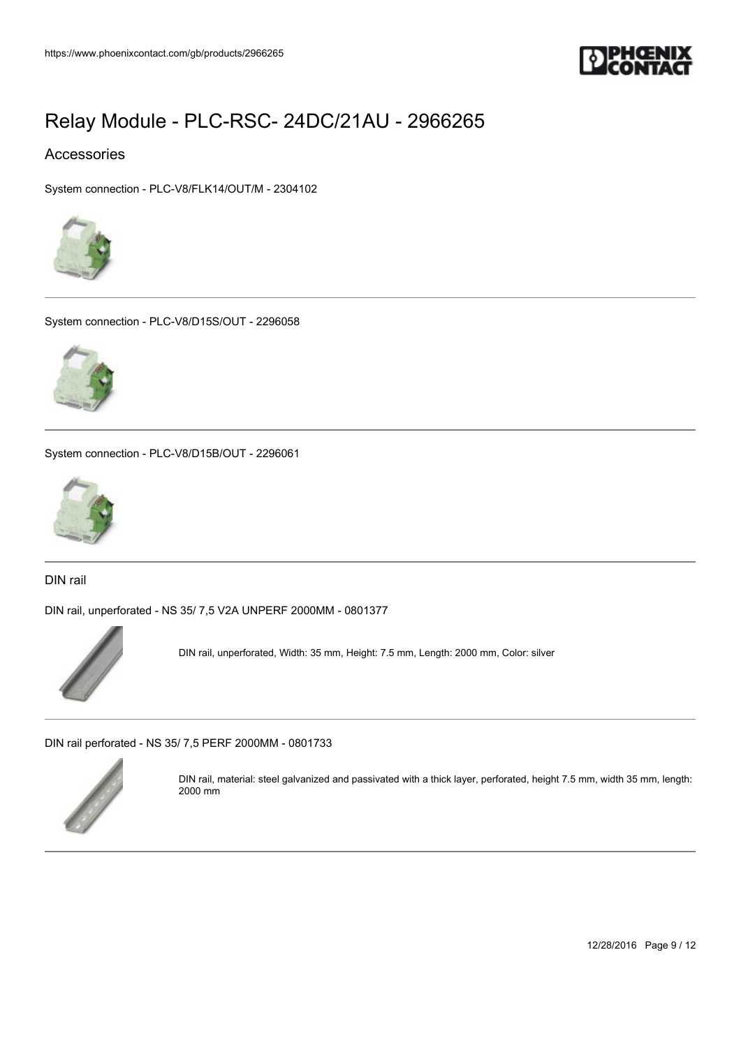

### Accessories

[System connection - PLC-V8/FLK14/OUT/M - 2304102](https://www.phoenixcontact.com/gb/products/2304102)



[System connection - PLC-V8/D15S/OUT - 2296058](https://www.phoenixcontact.com/gb/products/2296058)



[System connection - PLC-V8/D15B/OUT - 2296061](https://www.phoenixcontact.com/gb/products/2296061)



DIN rail

[DIN rail, unperforated - NS 35/ 7,5 V2A UNPERF 2000MM - 0801377](https://www.phoenixcontact.com/gb/products/0801377)



DIN rail, unperforated, Width: 35 mm, Height: 7.5 mm, Length: 2000 mm, Color: silver

[DIN rail perforated - NS 35/ 7,5 PERF 2000MM - 0801733](https://www.phoenixcontact.com/gb/products/0801733)



DIN rail, material: steel galvanized and passivated with a thick layer, perforated, height 7.5 mm, width 35 mm, length: 2000 mm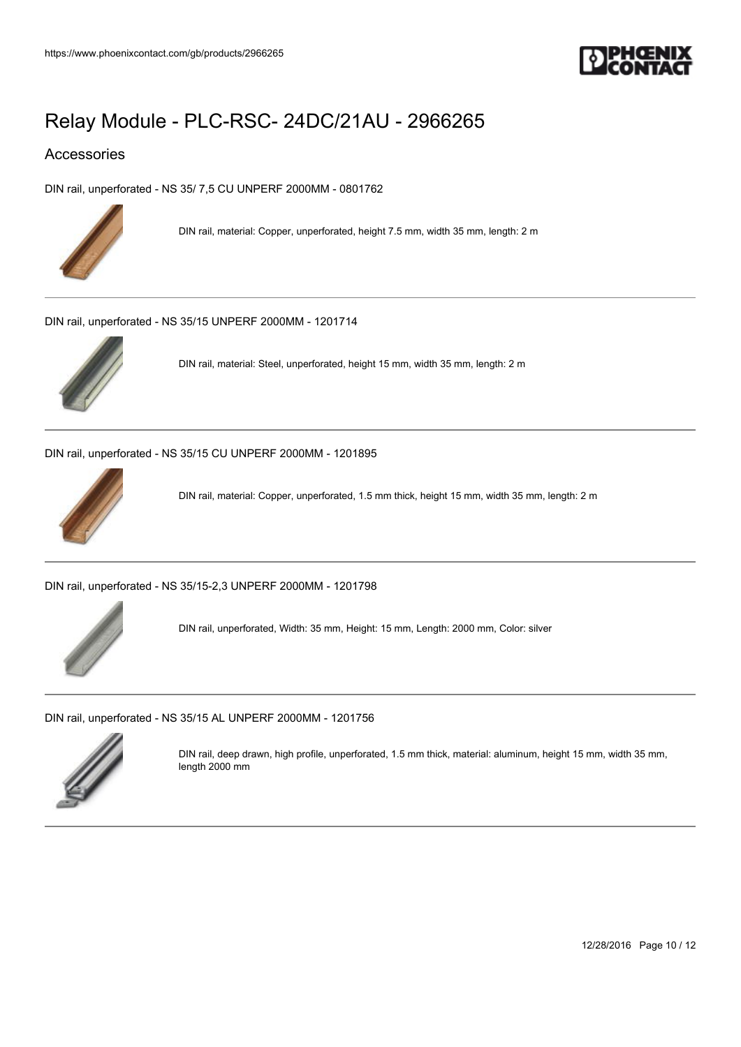

### Accessories

[DIN rail, unperforated - NS 35/ 7,5 CU UNPERF 2000MM - 0801762](https://www.phoenixcontact.com/gb/products/0801762)



DIN rail, material: Copper, unperforated, height 7.5 mm, width 35 mm, length: 2 m

[DIN rail, unperforated - NS 35/15 UNPERF 2000MM - 1201714](https://www.phoenixcontact.com/gb/products/1201714)



DIN rail, material: Steel, unperforated, height 15 mm, width 35 mm, length: 2 m

[DIN rail, unperforated - NS 35/15 CU UNPERF 2000MM - 1201895](https://www.phoenixcontact.com/gb/products/1201895)



DIN rail, material: Copper, unperforated, 1.5 mm thick, height 15 mm, width 35 mm, length: 2 m

[DIN rail, unperforated - NS 35/15-2,3 UNPERF 2000MM - 1201798](https://www.phoenixcontact.com/gb/products/1201798)



DIN rail, unperforated, Width: 35 mm, Height: 15 mm, Length: 2000 mm, Color: silver

[DIN rail, unperforated - NS 35/15 AL UNPERF 2000MM - 1201756](https://www.phoenixcontact.com/gb/products/1201756)



DIN rail, deep drawn, high profile, unperforated, 1.5 mm thick, material: aluminum, height 15 mm, width 35 mm, length 2000 mm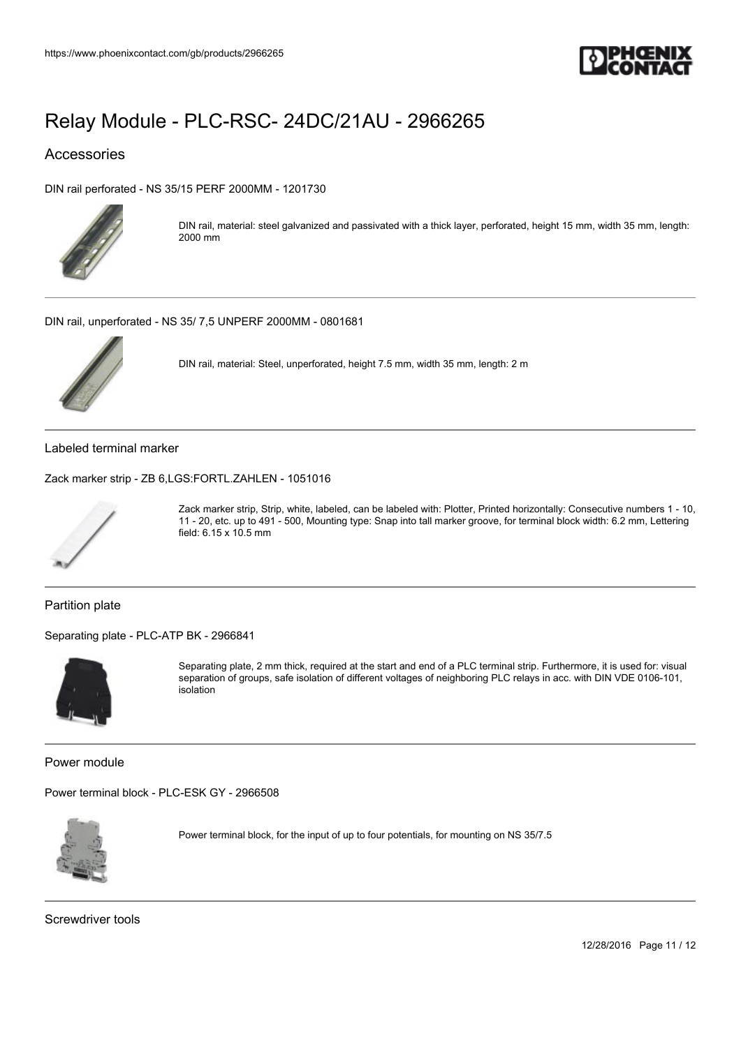

### Accessories

[DIN rail perforated - NS 35/15 PERF 2000MM - 1201730](https://www.phoenixcontact.com/gb/products/1201730)



DIN rail, material: steel galvanized and passivated with a thick layer, perforated, height 15 mm, width 35 mm, length: 2000 mm

[DIN rail, unperforated - NS 35/ 7,5 UNPERF 2000MM - 0801681](https://www.phoenixcontact.com/gb/products/0801681)



DIN rail, material: Steel, unperforated, height 7.5 mm, width 35 mm, length: 2 m

Labeled terminal marker

[Zack marker strip - ZB 6,LGS:FORTL.ZAHLEN - 1051016](https://www.phoenixcontact.com/gb/products/1051016)



Zack marker strip, Strip, white, labeled, can be labeled with: Plotter, Printed horizontally: Consecutive numbers 1 - 10, 11 - 20, etc. up to 491 - 500, Mounting type: Snap into tall marker groove, for terminal block width: 6.2 mm, Lettering field: 6.15 x 10.5 mm

Partition plate

[Separating plate - PLC-ATP BK - 2966841](https://www.phoenixcontact.com/gb/products/2966841)



Separating plate, 2 mm thick, required at the start and end of a PLC terminal strip. Furthermore, it is used for: visual separation of groups, safe isolation of different voltages of neighboring PLC relays in acc. with DIN VDE 0106-101, isolation

Power module

[Power terminal block - PLC-ESK GY - 2966508](https://www.phoenixcontact.com/gb/products/2966508)



Power terminal block, for the input of up to four potentials, for mounting on NS 35/7.5

Screwdriver tools